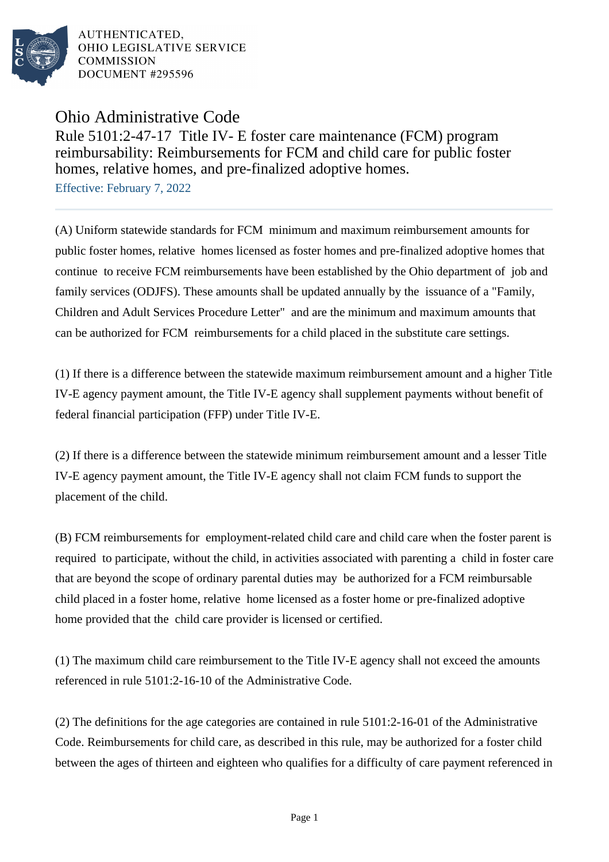

AUTHENTICATED. OHIO LEGISLATIVE SERVICE **COMMISSION** DOCUMENT #295596

Ohio Administrative Code

Rule 5101:2-47-17 Title IV- E foster care maintenance (FCM) program reimbursability: Reimbursements for FCM and child care for public foster homes, relative homes, and pre-finalized adoptive homes.

Effective: February 7, 2022

(A) Uniform statewide standards for FCM minimum and maximum reimbursement amounts for public foster homes, relative homes licensed as foster homes and pre-finalized adoptive homes that continue to receive FCM reimbursements have been established by the Ohio department of job and family services (ODJFS). These amounts shall be updated annually by the issuance of a "Family, Children and Adult Services Procedure Letter" and are the minimum and maximum amounts that can be authorized for FCM reimbursements for a child placed in the substitute care settings.

(1) If there is a difference between the statewide maximum reimbursement amount and a higher Title IV-E agency payment amount, the Title IV-E agency shall supplement payments without benefit of federal financial participation (FFP) under Title IV-E.

(2) If there is a difference between the statewide minimum reimbursement amount and a lesser Title IV-E agency payment amount, the Title IV-E agency shall not claim FCM funds to support the placement of the child.

(B) FCM reimbursements for employment-related child care and child care when the foster parent is required to participate, without the child, in activities associated with parenting a child in foster care that are beyond the scope of ordinary parental duties may be authorized for a FCM reimbursable child placed in a foster home, relative home licensed as a foster home or pre-finalized adoptive home provided that the child care provider is licensed or certified.

(1) The maximum child care reimbursement to the Title IV-E agency shall not exceed the amounts referenced in rule 5101:2-16-10 of the Administrative Code.

(2) The definitions for the age categories are contained in rule  $5101:2-16-01$  of the Administrative Code. Reimbursements for child care, as described in this rule, may be authorized for a foster child between the ages of thirteen and eighteen who qualifies for a difficulty of care payment referenced in